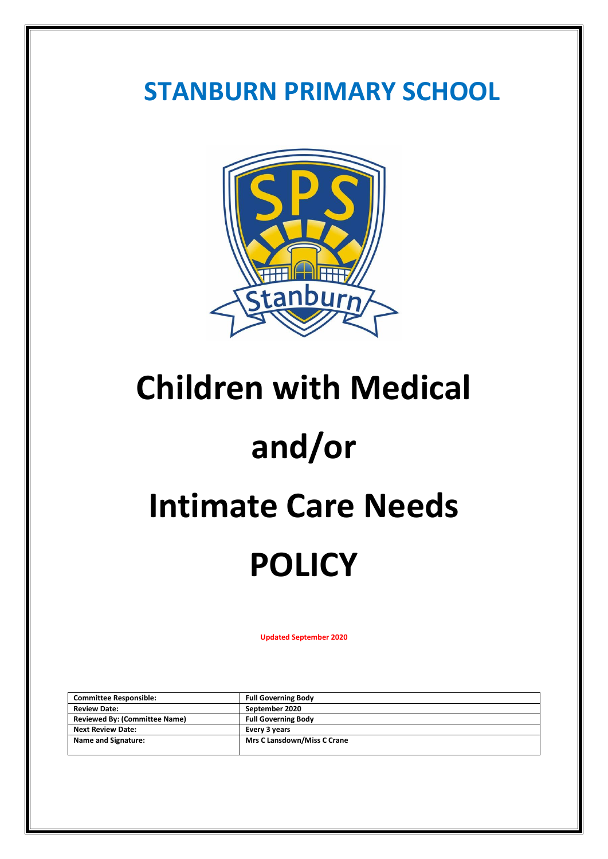### **STANBURN PRIMARY SCHOOL**



## **Children with Medical**

# **and/or**

## **Intimate Care Needs**

# **POLICY**

**Updated September 2020**

| <b>Committee Responsible:</b>        | <b>Full Governing Body</b>         |
|--------------------------------------|------------------------------------|
| <b>Review Date:</b>                  | September 2020                     |
| <b>Reviewed By: (Committee Name)</b> | <b>Full Governing Body</b>         |
| <b>Next Review Date:</b>             | Every 3 years                      |
| Name and Signature:                  | <b>Mrs C Lansdown/Miss C Crane</b> |
|                                      |                                    |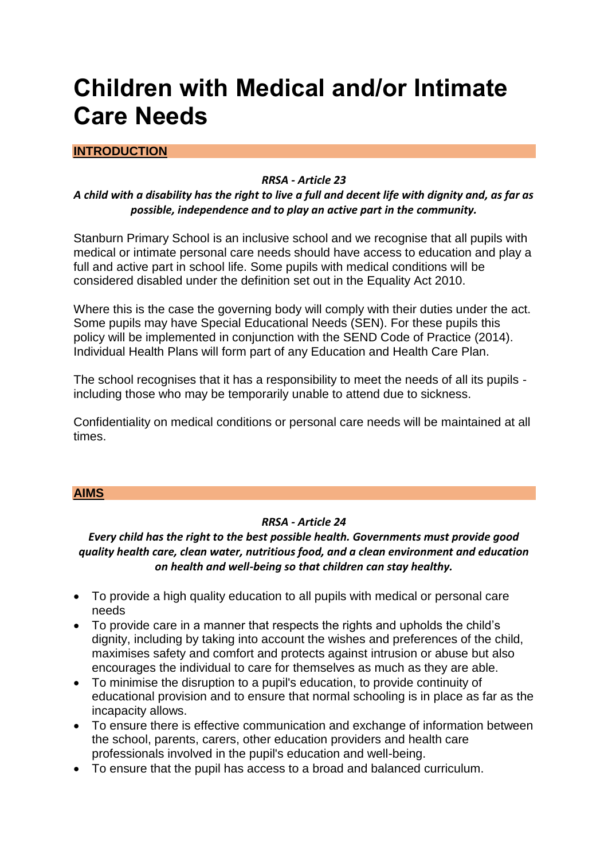### **Children with Medical and/or Intimate Care Needs**

#### **INTRODUCTION**

#### *RRSA - Article 23*

#### *A child with a disability has the right to live a full and decent life with dignity and, as far as possible, independence and to play an active part in the community.*

Stanburn Primary School is an inclusive school and we recognise that all pupils with medical or intimate personal care needs should have access to education and play a full and active part in school life. Some pupils with medical conditions will be considered disabled under the definition set out in the Equality Act 2010.

Where this is the case the governing body will comply with their duties under the act. Some pupils may have Special Educational Needs (SEN). For these pupils this policy will be implemented in conjunction with the SEND Code of Practice (2014). Individual Health Plans will form part of any Education and Health Care Plan.

The school recognises that it has a responsibility to meet the needs of all its pupils including those who may be temporarily unable to attend due to sickness.

Confidentiality on medical conditions or personal care needs will be maintained at all times.

#### **AIMS**

#### *RRSA - Article 24*

#### *Every child has the right to the best possible health. Governments must provide good quality health care, clean water, nutritious food, and a clean environment and education on health and well-being so that children can stay healthy.*

- To provide a high quality education to all pupils with medical or personal care needs
- To provide care in a manner that respects the rights and upholds the child's dignity, including by taking into account the wishes and preferences of the child, maximises safety and comfort and protects against intrusion or abuse but also encourages the individual to care for themselves as much as they are able.
- To minimise the disruption to a pupil's education, to provide continuity of educational provision and to ensure that normal schooling is in place as far as the incapacity allows.
- To ensure there is effective communication and exchange of information between the school, parents, carers, other education providers and health care professionals involved in the pupil's education and well-being.
- To ensure that the pupil has access to a broad and balanced curriculum.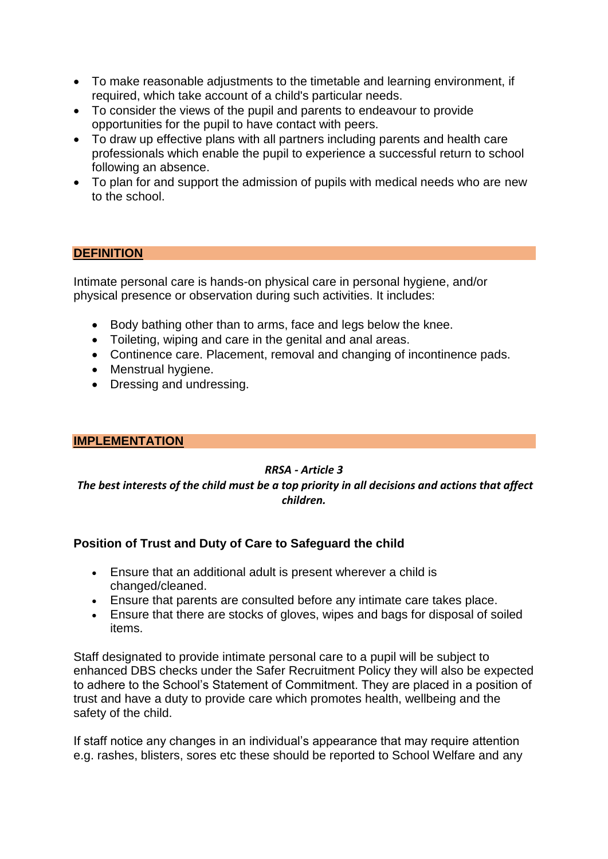- To make reasonable adjustments to the timetable and learning environment, if required, which take account of a child's particular needs.
- To consider the views of the pupil and parents to endeavour to provide opportunities for the pupil to have contact with peers.
- To draw up effective plans with all partners including parents and health care professionals which enable the pupil to experience a successful return to school following an absence.
- To plan for and support the admission of pupils with medical needs who are new to the school.

#### **DEFINITION**

Intimate personal care is hands-on physical care in personal hygiene, and/or physical presence or observation during such activities. It includes:

- Body bathing other than to arms, face and legs below the knee.
- Toileting, wiping and care in the genital and anal areas.
- Continence care. Placement, removal and changing of incontinence pads.
- Menstrual hygiene.
- Dressing and undressing.

#### **IMPLEMENTATION**

#### *RRSA - Article 3*

*The best interests of the child must be a top priority in all decisions and actions that affect children.*

#### **Position of Trust and Duty of Care to Safeguard the child**

- Ensure that an additional adult is present wherever a child is changed/cleaned.
- Ensure that parents are consulted before any intimate care takes place.
- Ensure that there are stocks of gloves, wipes and bags for disposal of soiled items.

Staff designated to provide intimate personal care to a pupil will be subject to enhanced DBS checks under the Safer Recruitment Policy they will also be expected to adhere to the School's Statement of Commitment. They are placed in a position of trust and have a duty to provide care which promotes health, wellbeing and the safety of the child.

If staff notice any changes in an individual's appearance that may require attention e.g. rashes, blisters, sores etc these should be reported to School Welfare and any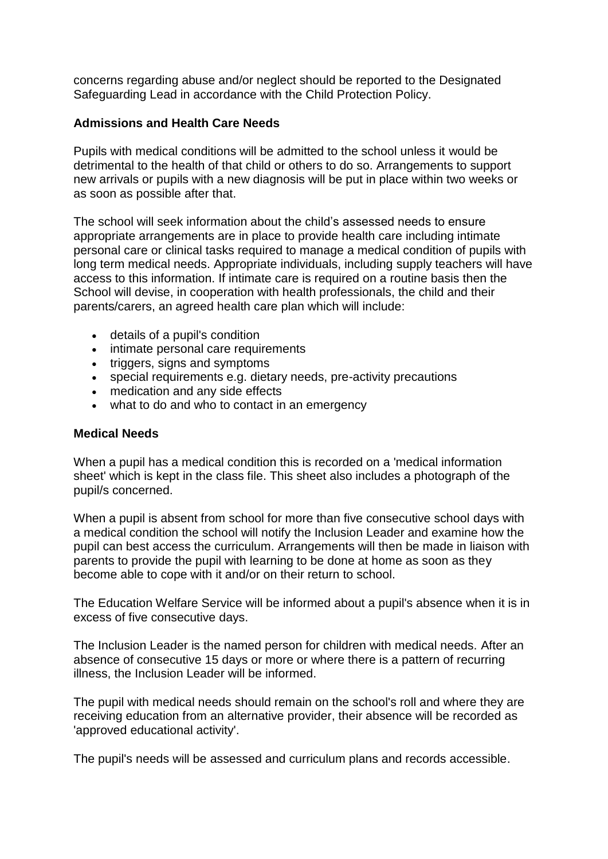concerns regarding abuse and/or neglect should be reported to the Designated Safeguarding Lead in accordance with the Child Protection Policy.

#### **Admissions and Health Care Needs**

Pupils with medical conditions will be admitted to the school unless it would be detrimental to the health of that child or others to do so. Arrangements to support new arrivals or pupils with a new diagnosis will be put in place within two weeks or as soon as possible after that.

The school will seek information about the child's assessed needs to ensure appropriate arrangements are in place to provide health care including intimate personal care or clinical tasks required to manage a medical condition of pupils with long term medical needs. Appropriate individuals, including supply teachers will have access to this information. If intimate care is required on a routine basis then the School will devise, in cooperation with health professionals, the child and their parents/carers, an agreed health care plan which will include:

- details of a pupil's condition
- intimate personal care requirements
- triggers, signs and symptoms
- special requirements e.g. dietary needs, pre-activity precautions
- medication and any side effects
- what to do and who to contact in an emergency

#### **Medical Needs**

When a pupil has a medical condition this is recorded on a 'medical information sheet' which is kept in the class file. This sheet also includes a photograph of the pupil/s concerned.

When a pupil is absent from school for more than five consecutive school days with a medical condition the school will notify the Inclusion Leader and examine how the pupil can best access the curriculum. Arrangements will then be made in liaison with parents to provide the pupil with learning to be done at home as soon as they become able to cope with it and/or on their return to school.

The Education Welfare Service will be informed about a pupil's absence when it is in excess of five consecutive days.

The Inclusion Leader is the named person for children with medical needs. After an absence of consecutive 15 days or more or where there is a pattern of recurring illness, the Inclusion Leader will be informed.

The pupil with medical needs should remain on the school's roll and where they are receiving education from an alternative provider, their absence will be recorded as 'approved educational activity'.

The pupil's needs will be assessed and curriculum plans and records accessible.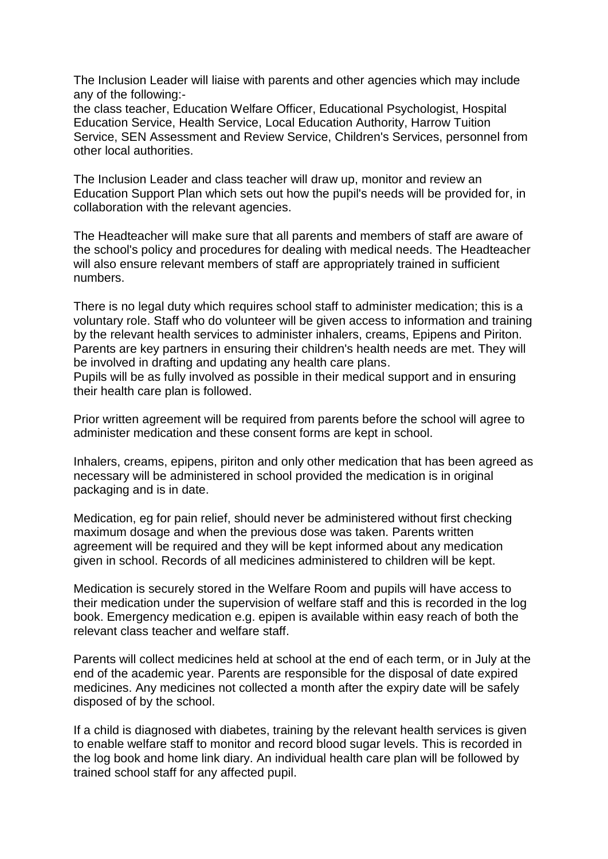The Inclusion Leader will liaise with parents and other agencies which may include any of the following:-

the class teacher, Education Welfare Officer, Educational Psychologist, Hospital Education Service, Health Service, Local Education Authority, Harrow Tuition Service, SEN Assessment and Review Service, Children's Services, personnel from other local authorities.

The Inclusion Leader and class teacher will draw up, monitor and review an Education Support Plan which sets out how the pupil's needs will be provided for, in collaboration with the relevant agencies.

The Headteacher will make sure that all parents and members of staff are aware of the school's policy and procedures for dealing with medical needs. The Headteacher will also ensure relevant members of staff are appropriately trained in sufficient numbers.

There is no legal duty which requires school staff to administer medication; this is a voluntary role. Staff who do volunteer will be given access to information and training by the relevant health services to administer inhalers, creams, Epipens and Piriton. Parents are key partners in ensuring their children's health needs are met. They will be involved in drafting and updating any health care plans.

Pupils will be as fully involved as possible in their medical support and in ensuring their health care plan is followed.

Prior written agreement will be required from parents before the school will agree to administer medication and these consent forms are kept in school.

Inhalers, creams, epipens, piriton and only other medication that has been agreed as necessary will be administered in school provided the medication is in original packaging and is in date.

Medication, eg for pain relief, should never be administered without first checking maximum dosage and when the previous dose was taken. Parents written agreement will be required and they will be kept informed about any medication given in school. Records of all medicines administered to children will be kept.

Medication is securely stored in the Welfare Room and pupils will have access to their medication under the supervision of welfare staff and this is recorded in the log book. Emergency medication e.g. epipen is available within easy reach of both the relevant class teacher and welfare staff.

Parents will collect medicines held at school at the end of each term, or in July at the end of the academic year. Parents are responsible for the disposal of date expired medicines. Any medicines not collected a month after the expiry date will be safely disposed of by the school.

If a child is diagnosed with diabetes, training by the relevant health services is given to enable welfare staff to monitor and record blood sugar levels. This is recorded in the log book and home link diary. An individual health care plan will be followed by trained school staff for any affected pupil.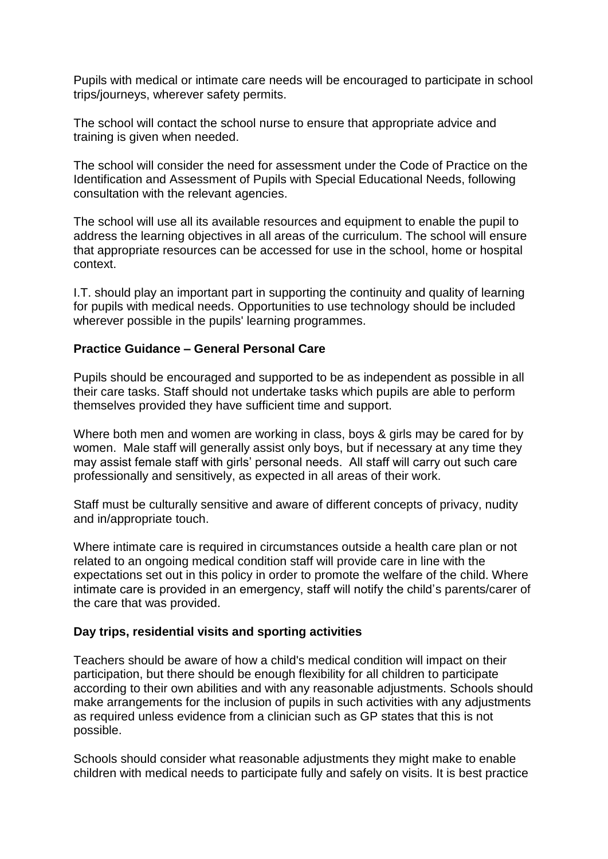Pupils with medical or intimate care needs will be encouraged to participate in school trips/journeys, wherever safety permits.

The school will contact the school nurse to ensure that appropriate advice and training is given when needed.

The school will consider the need for assessment under the Code of Practice on the Identification and Assessment of Pupils with Special Educational Needs, following consultation with the relevant agencies.

The school will use all its available resources and equipment to enable the pupil to address the learning objectives in all areas of the curriculum. The school will ensure that appropriate resources can be accessed for use in the school, home or hospital context.

I.T. should play an important part in supporting the continuity and quality of learning for pupils with medical needs. Opportunities to use technology should be included wherever possible in the pupils' learning programmes.

#### **Practice Guidance – General Personal Care**

Pupils should be encouraged and supported to be as independent as possible in all their care tasks. Staff should not undertake tasks which pupils are able to perform themselves provided they have sufficient time and support.

Where both men and women are working in class, boys & girls may be cared for by women. Male staff will generally assist only boys, but if necessary at any time they may assist female staff with girls' personal needs. All staff will carry out such care professionally and sensitively, as expected in all areas of their work.

Staff must be culturally sensitive and aware of different concepts of privacy, nudity and in/appropriate touch.

Where intimate care is required in circumstances outside a health care plan or not related to an ongoing medical condition staff will provide care in line with the expectations set out in this policy in order to promote the welfare of the child. Where intimate care is provided in an emergency, staff will notify the child's parents/carer of the care that was provided.

#### **Day trips, residential visits and sporting activities**

Teachers should be aware of how a child's medical condition will impact on their participation, but there should be enough flexibility for all children to participate according to their own abilities and with any reasonable adjustments. Schools should make arrangements for the inclusion of pupils in such activities with any adjustments as required unless evidence from a clinician such as GP states that this is not possible.

Schools should consider what reasonable adjustments they might make to enable children with medical needs to participate fully and safely on visits. It is best practice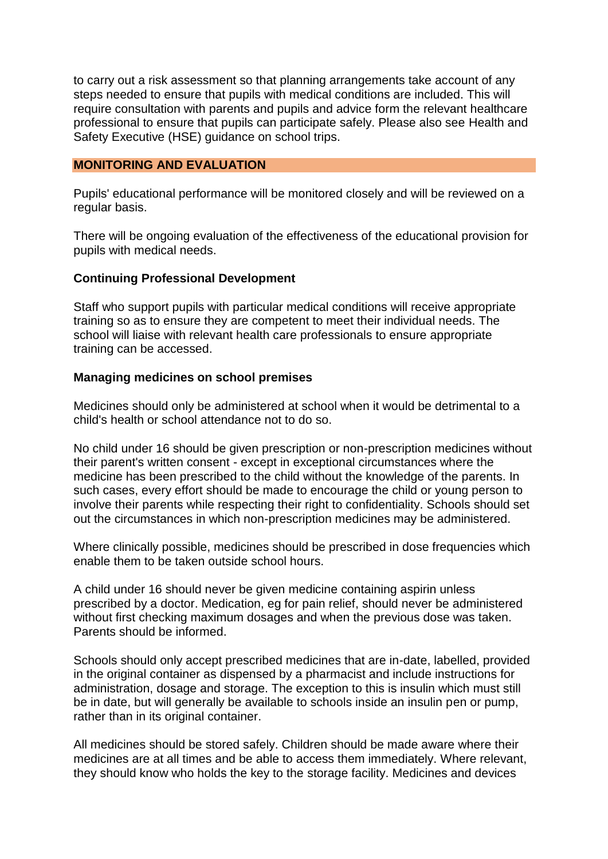to carry out a risk assessment so that planning arrangements take account of any steps needed to ensure that pupils with medical conditions are included. This will require consultation with parents and pupils and advice form the relevant healthcare professional to ensure that pupils can participate safely. Please also see Health and Safety Executive (HSE) guidance on school trips.

#### **MONITORING AND EVALUATION**

Pupils' educational performance will be monitored closely and will be reviewed on a regular basis.

There will be ongoing evaluation of the effectiveness of the educational provision for pupils with medical needs.

#### **Continuing Professional Development**

Staff who support pupils with particular medical conditions will receive appropriate training so as to ensure they are competent to meet their individual needs. The school will liaise with relevant health care professionals to ensure appropriate training can be accessed.

#### **Managing medicines on school premises**

Medicines should only be administered at school when it would be detrimental to a child's health or school attendance not to do so.

No child under 16 should be given prescription or non-prescription medicines without their parent's written consent - except in exceptional circumstances where the medicine has been prescribed to the child without the knowledge of the parents. In such cases, every effort should be made to encourage the child or young person to involve their parents while respecting their right to confidentiality. Schools should set out the circumstances in which non-prescription medicines may be administered.

Where clinically possible, medicines should be prescribed in dose frequencies which enable them to be taken outside school hours.

A child under 16 should never be given medicine containing aspirin unless prescribed by a doctor. Medication, eg for pain relief, should never be administered without first checking maximum dosages and when the previous dose was taken. Parents should be informed.

Schools should only accept prescribed medicines that are in-date, labelled, provided in the original container as dispensed by a pharmacist and include instructions for administration, dosage and storage. The exception to this is insulin which must still be in date, but will generally be available to schools inside an insulin pen or pump, rather than in its original container.

All medicines should be stored safely. Children should be made aware where their medicines are at all times and be able to access them immediately. Where relevant, they should know who holds the key to the storage facility. Medicines and devices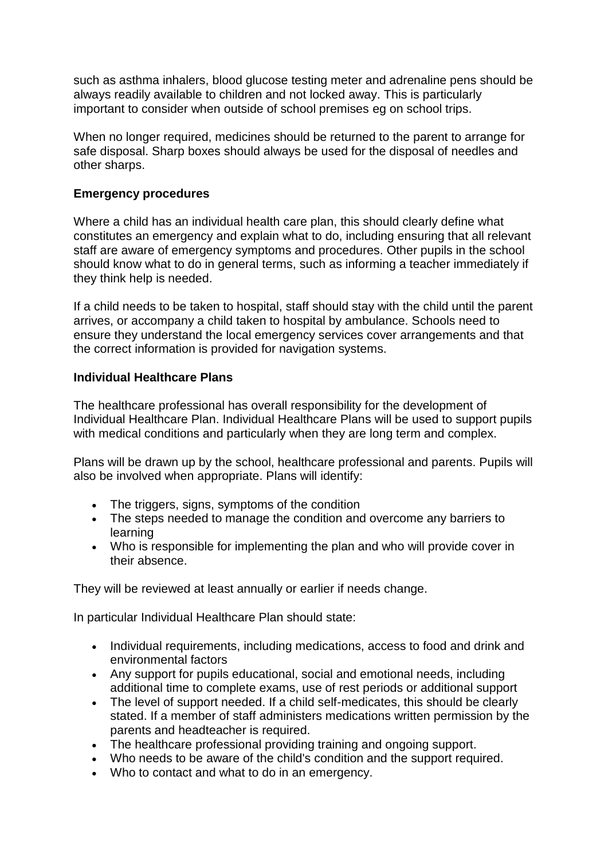such as asthma inhalers, blood glucose testing meter and adrenaline pens should be always readily available to children and not locked away. This is particularly important to consider when outside of school premises eg on school trips.

When no longer required, medicines should be returned to the parent to arrange for safe disposal. Sharp boxes should always be used for the disposal of needles and other sharps.

#### **Emergency procedures**

Where a child has an individual health care plan, this should clearly define what constitutes an emergency and explain what to do, including ensuring that all relevant staff are aware of emergency symptoms and procedures. Other pupils in the school should know what to do in general terms, such as informing a teacher immediately if they think help is needed.

If a child needs to be taken to hospital, staff should stay with the child until the parent arrives, or accompany a child taken to hospital by ambulance. Schools need to ensure they understand the local emergency services cover arrangements and that the correct information is provided for navigation systems.

#### **Individual Healthcare Plans**

The healthcare professional has overall responsibility for the development of Individual Healthcare Plan. Individual Healthcare Plans will be used to support pupils with medical conditions and particularly when they are long term and complex.

Plans will be drawn up by the school, healthcare professional and parents. Pupils will also be involved when appropriate. Plans will identify:

- The triggers, signs, symptoms of the condition
- The steps needed to manage the condition and overcome any barriers to learning
- Who is responsible for implementing the plan and who will provide cover in their absence.

They will be reviewed at least annually or earlier if needs change.

In particular Individual Healthcare Plan should state:

- Individual requirements, including medications, access to food and drink and environmental factors
- Any support for pupils educational, social and emotional needs, including additional time to complete exams, use of rest periods or additional support
- The level of support needed. If a child self-medicates, this should be clearly stated. If a member of staff administers medications written permission by the parents and headteacher is required.
- The healthcare professional providing training and ongoing support.
- Who needs to be aware of the child's condition and the support required.
- Who to contact and what to do in an emergency.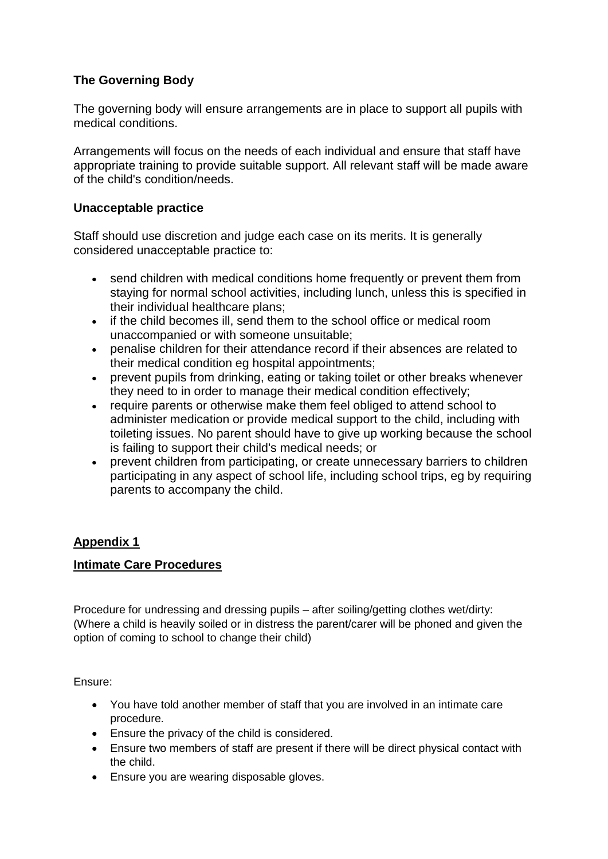#### **The Governing Body**

The governing body will ensure arrangements are in place to support all pupils with medical conditions.

Arrangements will focus on the needs of each individual and ensure that staff have appropriate training to provide suitable support. All relevant staff will be made aware of the child's condition/needs.

#### **Unacceptable practice**

Staff should use discretion and judge each case on its merits. It is generally considered unacceptable practice to:

- send children with medical conditions home frequently or prevent them from staying for normal school activities, including lunch, unless this is specified in their individual healthcare plans;
- if the child becomes ill, send them to the school office or medical room unaccompanied or with someone unsuitable;
- penalise children for their attendance record if their absences are related to their medical condition eg hospital appointments;
- prevent pupils from drinking, eating or taking toilet or other breaks whenever they need to in order to manage their medical condition effectively;
- require parents or otherwise make them feel obliged to attend school to administer medication or provide medical support to the child, including with toileting issues. No parent should have to give up working because the school is failing to support their child's medical needs; or
- prevent children from participating, or create unnecessary barriers to children participating in any aspect of school life, including school trips, eg by requiring parents to accompany the child.

#### **Appendix 1**

#### **Intimate Care Procedures**

Procedure for undressing and dressing pupils – after soiling/getting clothes wet/dirty: (Where a child is heavily soiled or in distress the parent/carer will be phoned and given the option of coming to school to change their child)

Ensure:

- You have told another member of staff that you are involved in an intimate care procedure.
- Ensure the privacy of the child is considered.
- Ensure two members of staff are present if there will be direct physical contact with the child.
- Ensure you are wearing disposable gloves.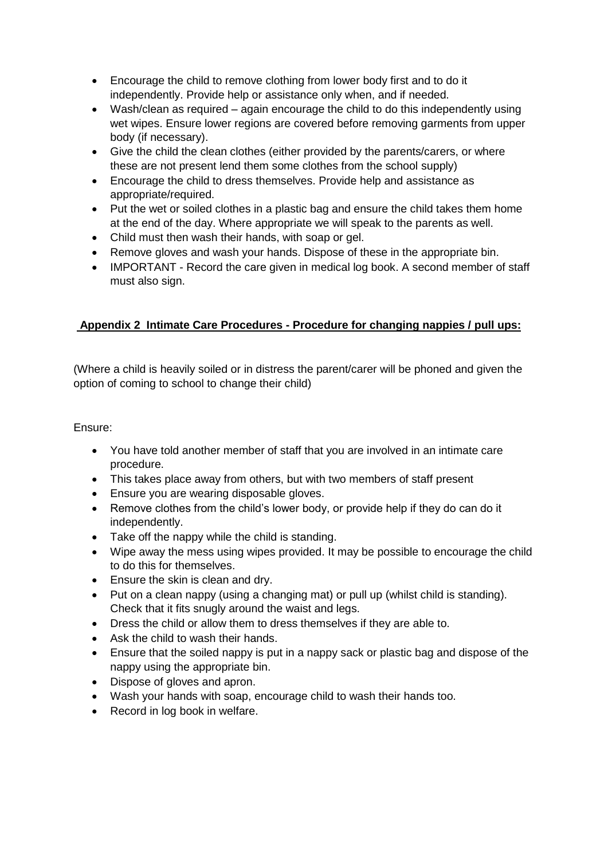- Encourage the child to remove clothing from lower body first and to do it independently. Provide help or assistance only when, and if needed.
- Wash/clean as required again encourage the child to do this independently using wet wipes. Ensure lower regions are covered before removing garments from upper body (if necessary).
- Give the child the clean clothes (either provided by the parents/carers, or where these are not present lend them some clothes from the school supply)
- Encourage the child to dress themselves. Provide help and assistance as appropriate/required.
- Put the wet or soiled clothes in a plastic bag and ensure the child takes them home at the end of the day. Where appropriate we will speak to the parents as well.
- Child must then wash their hands, with soap or gel.
- Remove gloves and wash your hands. Dispose of these in the appropriate bin.
- IMPORTANT Record the care given in medical log book. A second member of staff must also sign.

#### **Appendix 2 Intimate Care Procedures - Procedure for changing nappies / pull ups:**

(Where a child is heavily soiled or in distress the parent/carer will be phoned and given the option of coming to school to change their child)

#### Ensure:

- You have told another member of staff that you are involved in an intimate care procedure.
- This takes place away from others, but with two members of staff present
- Ensure you are wearing disposable gloves.
- Remove clothes from the child's lower body, or provide help if they do can do it independently.
- Take off the nappy while the child is standing.
- Wipe away the mess using wipes provided. It may be possible to encourage the child to do this for themselves.
- Ensure the skin is clean and dry.
- Put on a clean nappy (using a changing mat) or pull up (whilst child is standing). Check that it fits snugly around the waist and legs.
- Dress the child or allow them to dress themselves if they are able to.
- Ask the child to wash their hands.
- Ensure that the soiled nappy is put in a nappy sack or plastic bag and dispose of the nappy using the appropriate bin.
- Dispose of gloves and apron.
- Wash your hands with soap, encourage child to wash their hands too.
- Record in log book in welfare.